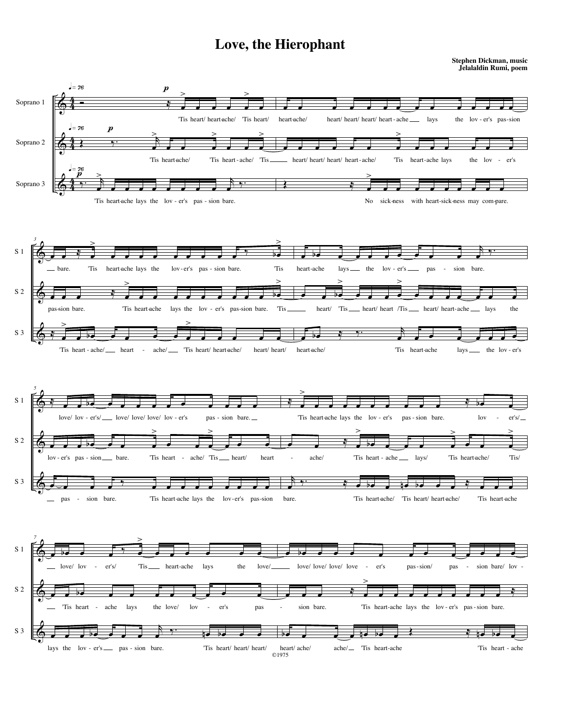**Stephen Dickman, music Jelalaldin Rumi, poem**

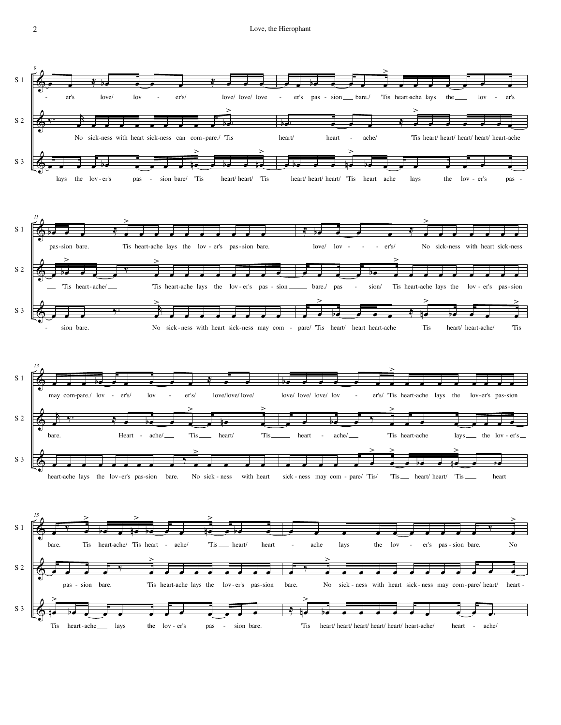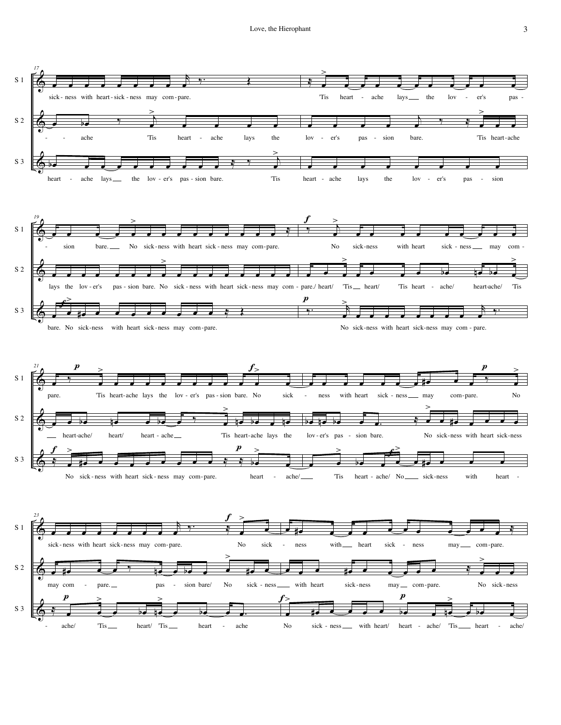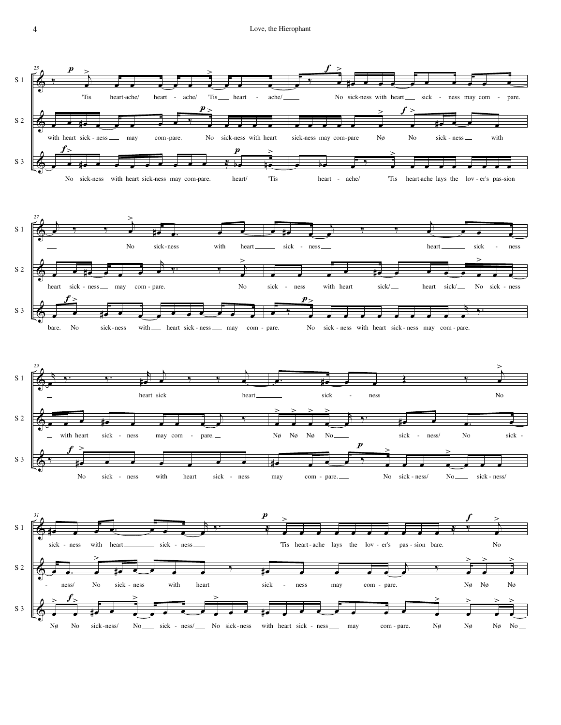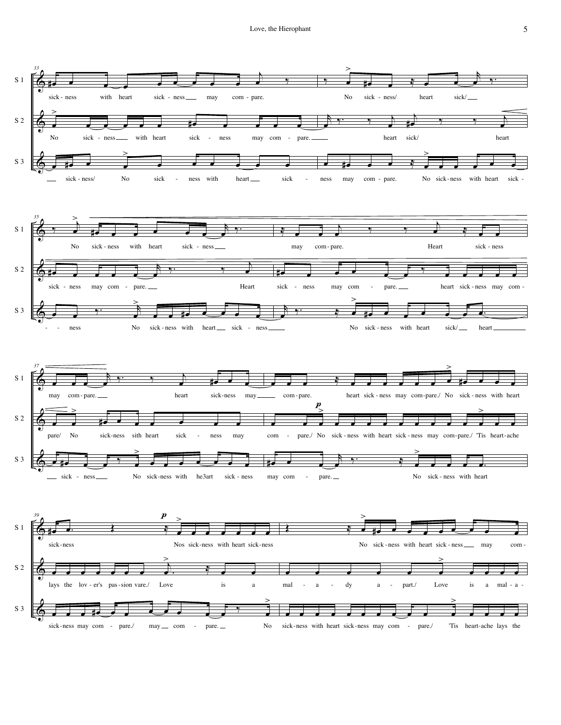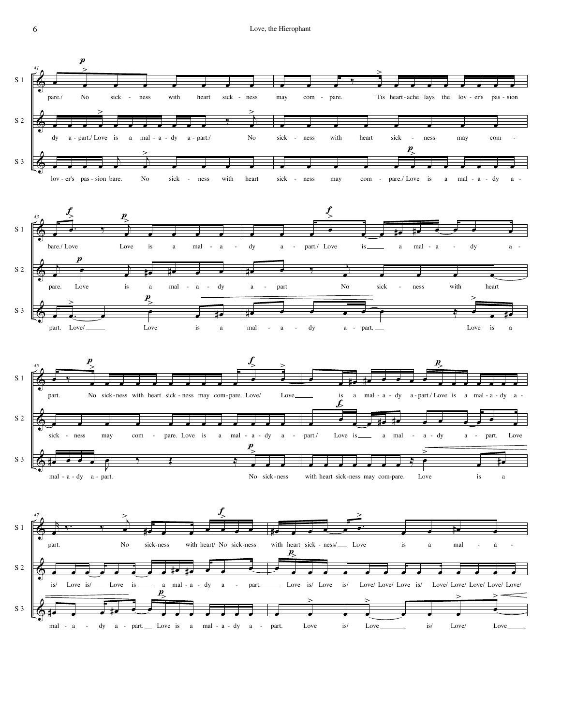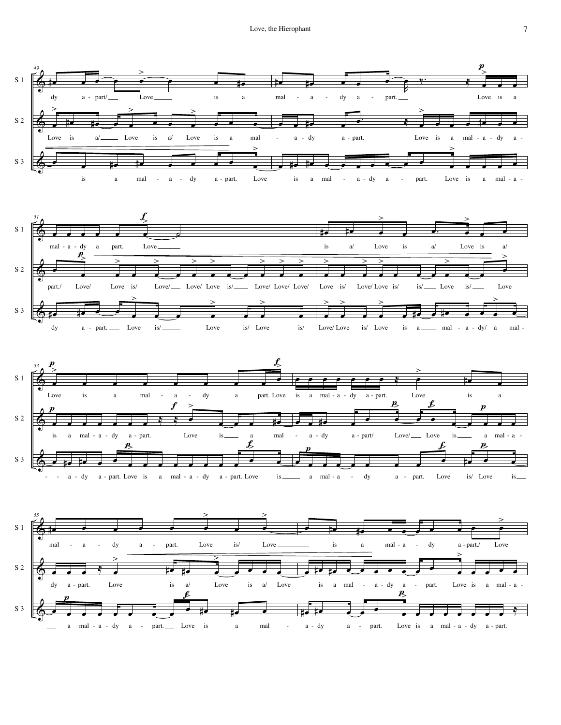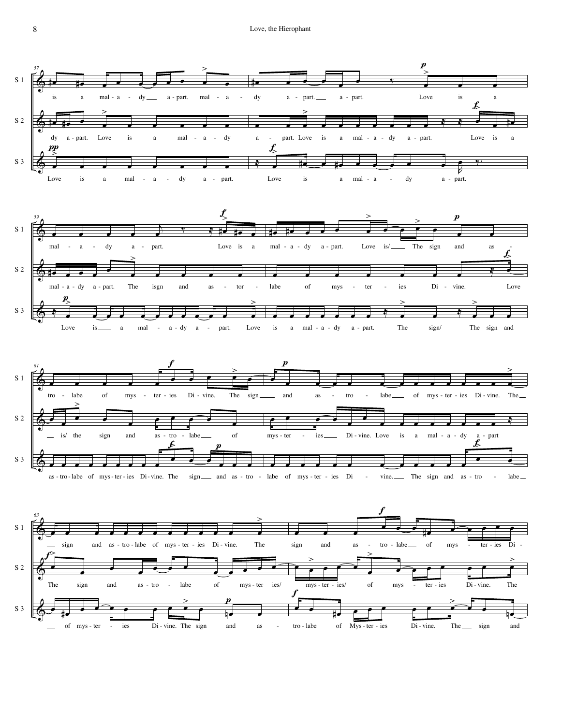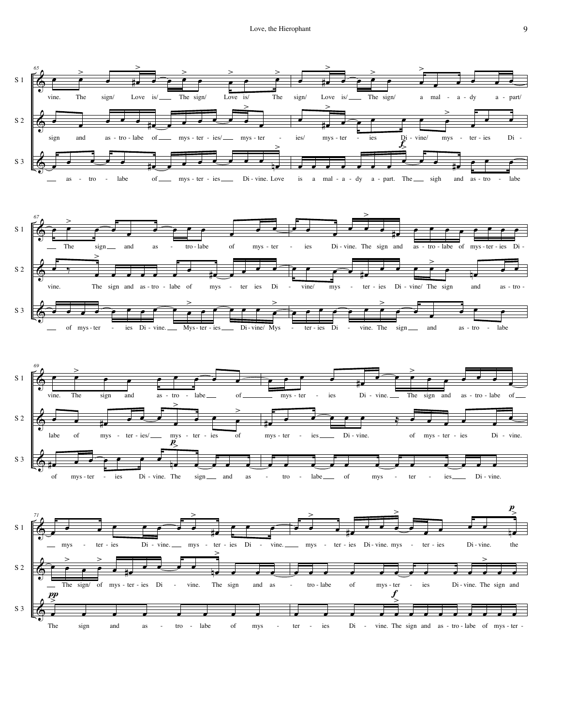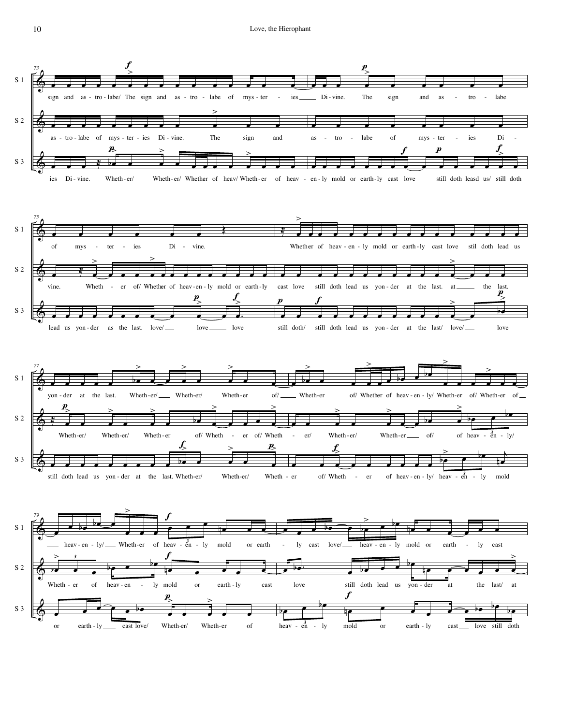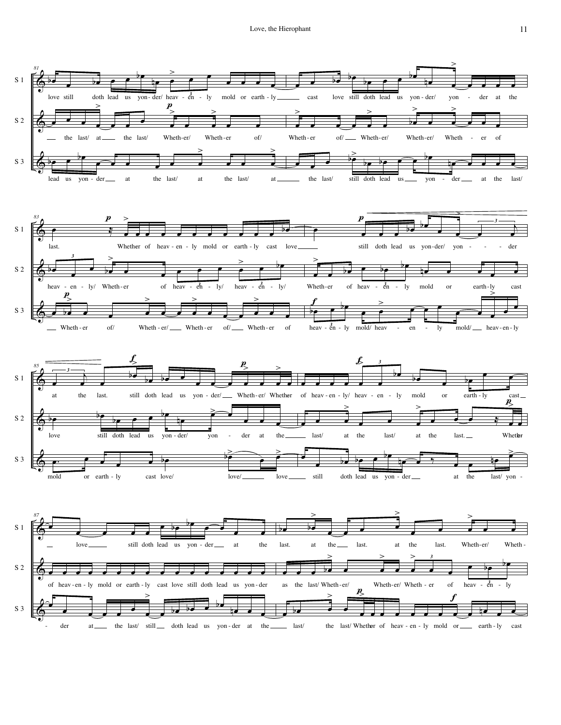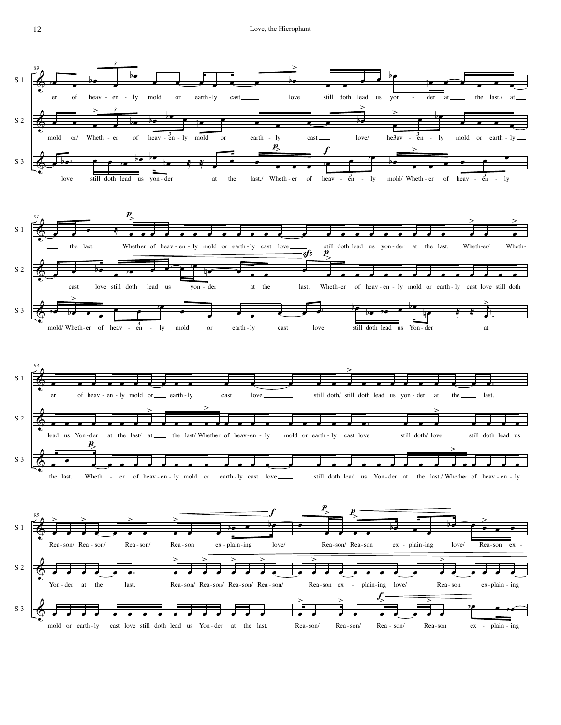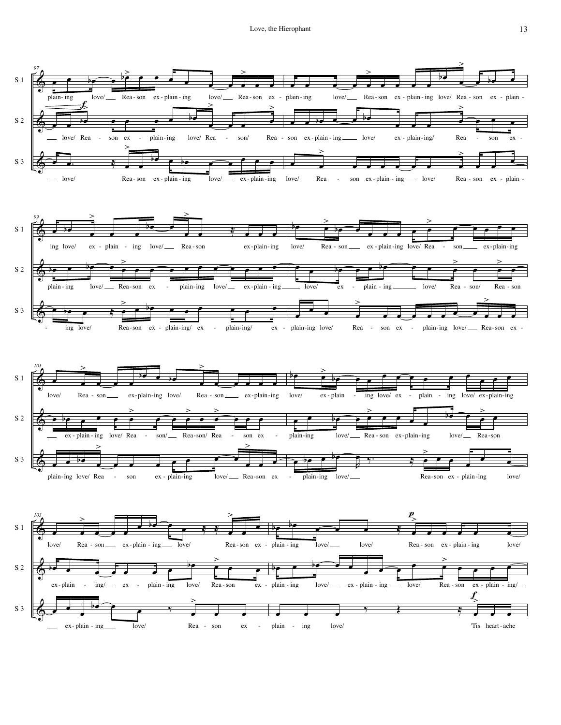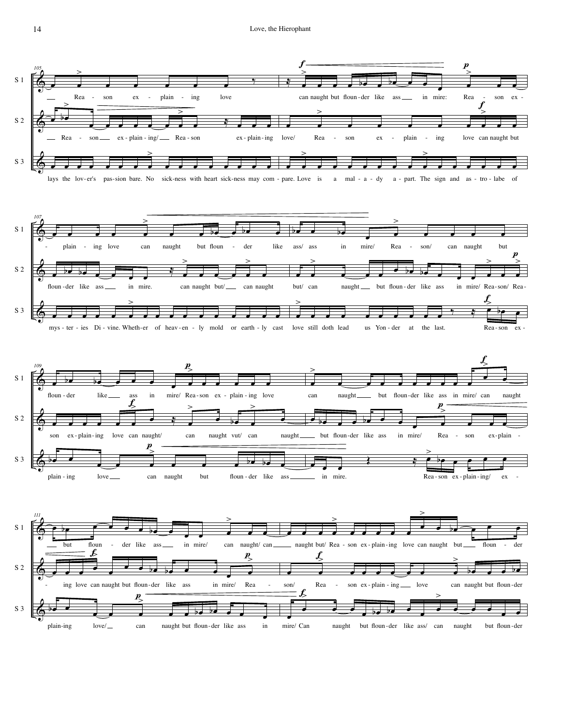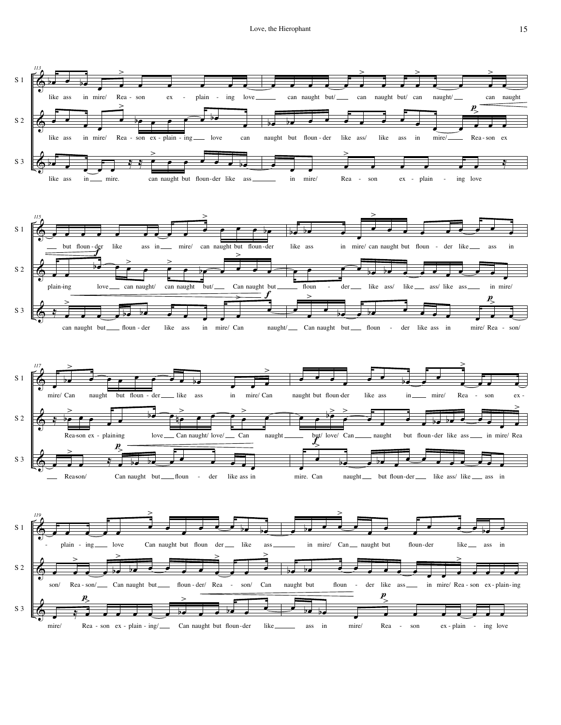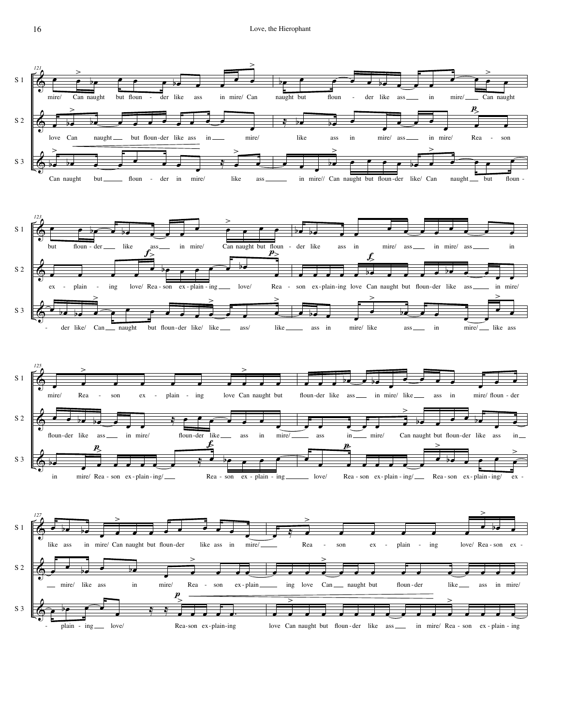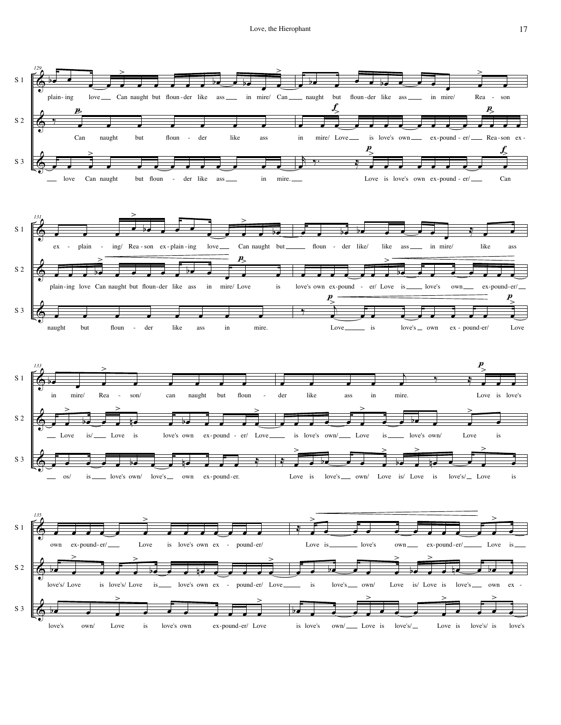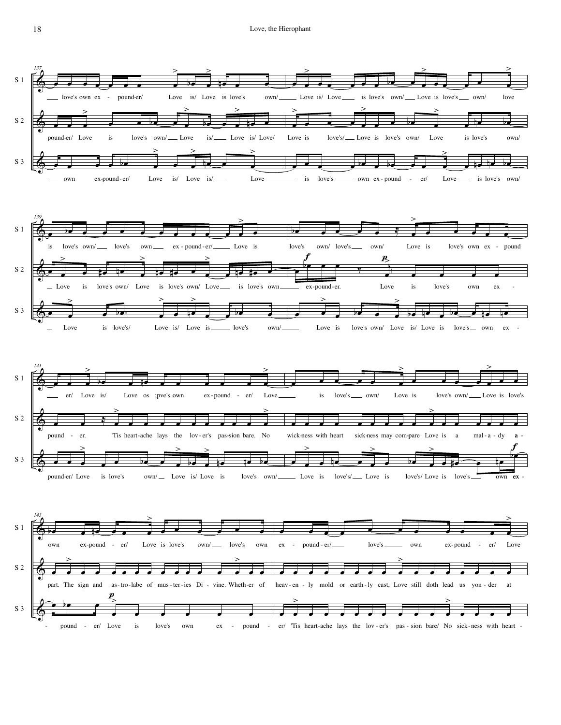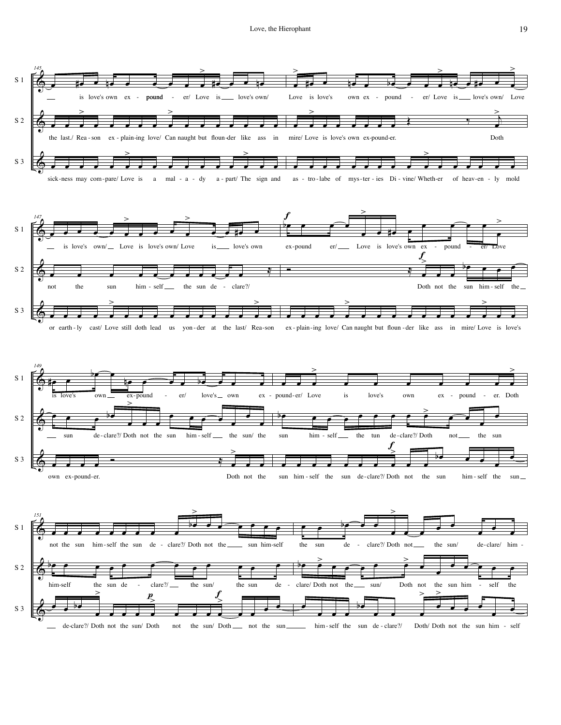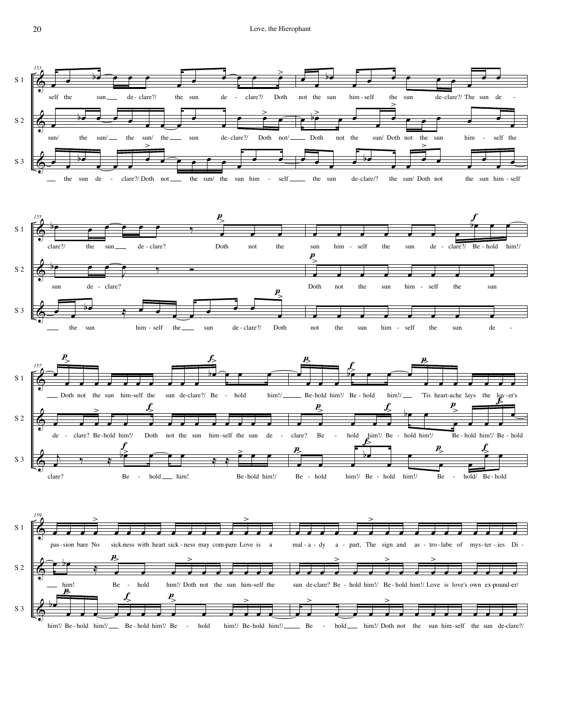